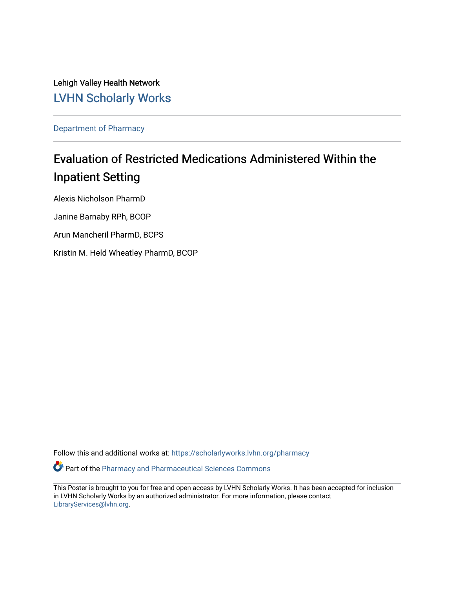Lehigh Valley Health Network [LVHN Scholarly Works](https://scholarlyworks.lvhn.org/)

[Department of Pharmacy](https://scholarlyworks.lvhn.org/pharmacy) 

#### Evaluation of Restricted Medications Administered Within the Inpatient Setting

Alexis Nicholson PharmD Janine Barnaby RPh, BCOP Arun Mancheril PharmD, BCPS Kristin M. Held Wheatley PharmD, BCOP

Follow this and additional works at: [https://scholarlyworks.lvhn.org/pharmacy](https://scholarlyworks.lvhn.org/pharmacy?utm_source=scholarlyworks.lvhn.org%2Fpharmacy%2F71&utm_medium=PDF&utm_campaign=PDFCoverPages)

Part of the [Pharmacy and Pharmaceutical Sciences Commons](http://network.bepress.com/hgg/discipline/731?utm_source=scholarlyworks.lvhn.org%2Fpharmacy%2F71&utm_medium=PDF&utm_campaign=PDFCoverPages)

This Poster is brought to you for free and open access by LVHN Scholarly Works. It has been accepted for inclusion in LVHN Scholarly Works by an authorized administrator. For more information, please contact [LibraryServices@lvhn.org](mailto:LibraryServices@lvhn.org).